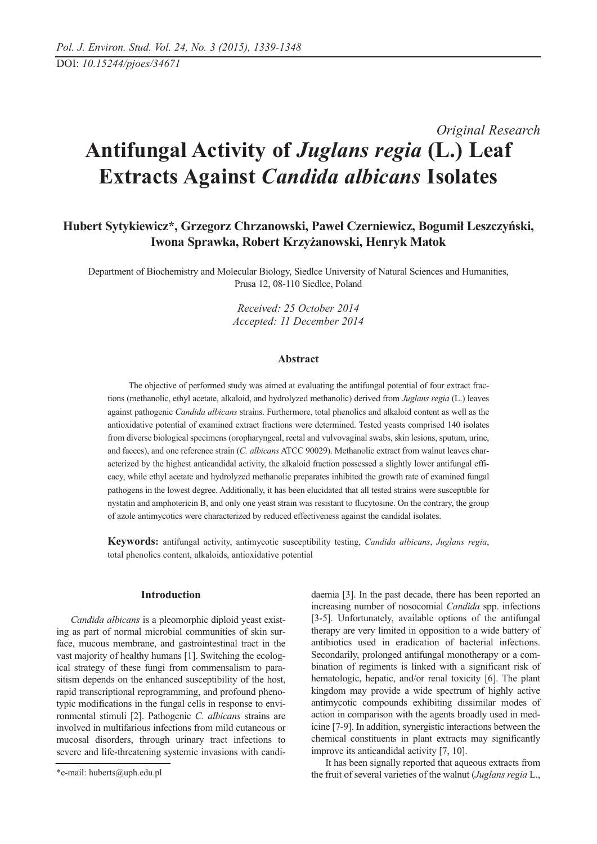# *Original Research* **Antifungal Activity of** *Juglans regia* **(L.) Leaf Extracts Against** *Candida albicans* **Isolates**

## **Hubert Sytykiewicz\*, Grzegorz Chrzanowski, Paweł Czerniewicz, Bogumił Leszczyński, Iwona Sprawka, Robert Krzyżanowski, Henryk Matok**

Department of Biochemistry and Molecular Biology, Siedlce University of Natural Sciences and Humanities, Prusa 12, 08-110 Siedlce, Poland

> *Received: 25 October 2014 Accepted: 11 December 2014*

## **Abstract**

The objective of performed study was aimed at evaluating the antifungal potential of four extract fractions (methanolic, ethyl acetate, alkaloid, and hydrolyzed methanolic) derived from *Juglans regia* (L.) leaves against pathogenic *Candida albicans* strains. Furthermore, total phenolics and alkaloid content as well as the antioxidative potential of examined extract fractions were determined. Tested yeasts comprised 140 isolates from diverse biological specimens (oropharyngeal, rectal and vulvovaginal swabs, skin lesions, sputum, urine, and faeces), and one reference strain (*C. albicans* ATCC 90029). Methanolic extract from walnut leaves characterized by the highest anticandidal activity, the alkaloid fraction possessed a slightly lower antifungal efficacy, while ethyl acetate and hydrolyzed methanolic preparates inhibited the growth rate of examined fungal pathogens in the lowest degree. Additionally, it has been elucidated that all tested strains were susceptible for nystatin and amphotericin B, and only one yeast strain was resistant to flucytosine. On the contrary, the group of azole antimycotics were characterized by reduced effectiveness against the candidal isolates.

**Keywords:** antifungal activity, antimycotic susceptibility testing, *Candida albicans*, *Juglans regia*, total phenolics content, alkaloids, antioxidative potential

## **Introduction**

*Candida albicans* is a pleomorphic diploid yeast existing as part of normal microbial communities of skin surface, mucous membrane, and gastrointestinal tract in the vast majority of healthy humans [1]. Switching the ecological strategy of these fungi from commensalism to parasitism depends on the enhanced susceptibility of the host, rapid transcriptional reprogramming, and profound phenotypic modifications in the fungal cells in response to environmental stimuli [2]. Pathogenic *C. albicans* strains are involved in multifarious infections from mild cutaneous or mucosal disorders, through urinary tract infections to severe and life-threatening systemic invasions with candidaemia [3]. In the past decade, there has been reported an increasing number of nosocomial *Candida* spp. infections [3-5]. Unfortunately, available options of the antifungal therapy are very limited in opposition to a wide battery of antibiotics used in eradication of bacterial infections. Secondarily, prolonged antifungal monotherapy or a combination of regiments is linked with a significant risk of hematologic, hepatic, and/or renal toxicity [6]. The plant kingdom may provide a wide spectrum of highly active antimycotic compounds exhibiting dissimilar modes of action in comparison with the agents broadly used in medicine [7-9]. In addition, synergistic interactions between the chemical constituents in plant extracts may significantly improve its anticandidal activity [7, 10].

It has been signally reported that aqueous extracts from the fruit of several varieties of the walnut (*Juglans regia* L.,

<sup>\*</sup>e-mail: huberts@uph.edu.pl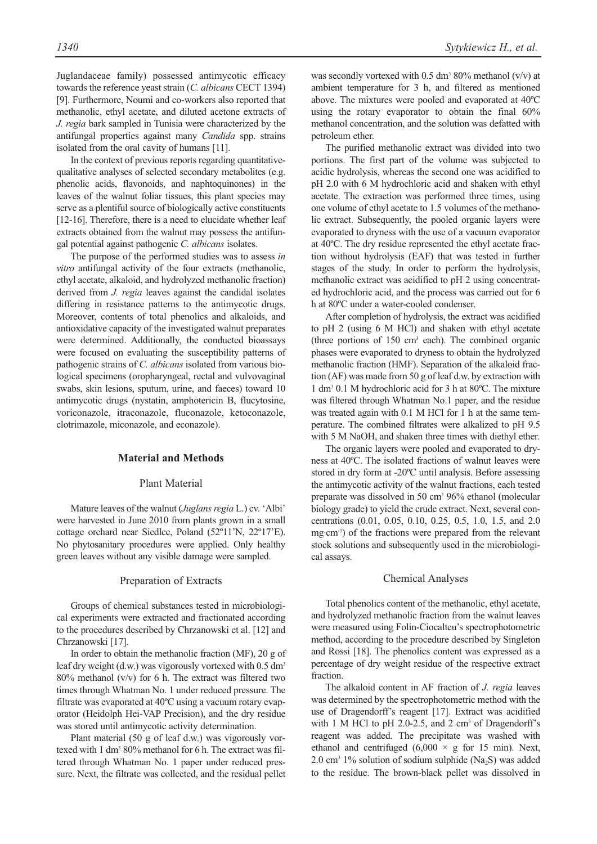Juglandaceae family) possessed antimycotic efficacy towards the reference yeast strain (*C. albicans* CECT 1394) [9]. Furthermore, Noumi and co-workers also reported that methanolic, ethyl acetate, and diluted acetone extracts of *J. regia* bark sampled in Tunisia were characterized by the antifungal properties against many *Candida* spp. strains isolated from the oral cavity of humans [11].

In the context of previous reports regarding quantitativequalitative analyses of selected secondary metabolites (e.g. phenolic acids, flavonoids, and naphtoquinones) in the leaves of the walnut foliar tissues, this plant species may serve as a plentiful source of biologically active constituents [12-16]. Therefore, there is a need to elucidate whether leaf extracts obtained from the walnut may possess the antifungal potential against pathogenic *C. albicans* isolates.

The purpose of the performed studies was to assess *in vitro* antifungal activity of the four extracts (methanolic, ethyl acetate, alkaloid, and hydrolyzed methanolic fraction) derived from *J. regia* leaves against the candidal isolates differing in resistance patterns to the antimycotic drugs. Moreover, contents of total phenolics and alkaloids, and antioxidative capacity of the investigated walnut preparates were determined. Additionally, the conducted bioassays were focused on evaluating the susceptibility patterns of pathogenic strains of *C. albicans* isolated from various biological specimens (oropharyngeal, rectal and vulvovaginal swabs, skin lesions, sputum, urine, and faeces) toward 10 antimycotic drugs (nystatin, amphotericin B, flucytosine, voriconazole, itraconazole, fluconazole, ketoconazole, clotrimazole, miconazole, and econazole).

### **Material and Methods**

#### Plant Material

Mature leaves of the walnut (*Juglans regia* L.) cv. 'Albi' were harvested in June 2010 from plants grown in a small cottage orchard near Siedlce, Poland (52º11'N, 22º17'E). No phytosanitary procedures were applied. Only healthy green leaves without any visible damage were sampled.

#### Preparation of Extracts

Groups of chemical substances tested in microbiological experiments were extracted and fractionated according to the procedures described by Chrzanowski et al. [12] and Chrzanowski [17].

In order to obtain the methanolic fraction (MF), 20 g of leaf dry weight (d.w.) was vigorously vortexed with  $0.5 \text{ dm}^3$ 80% methanol  $(v/v)$  for 6 h. The extract was filtered two times through Whatman No. 1 under reduced pressure. The filtrate was evaporated at 40ºC using a vacuum rotary evaporator (Heidolph Hei-VAP Precision), and the dry residue was stored until antimycotic activity determination.

Plant material (50 g of leaf d.w.) was vigorously vortexed with 1 dm<sup>3</sup> 80% methanol for 6 h. The extract was filtered through Whatman No. 1 paper under reduced pressure. Next, the filtrate was collected, and the residual pellet was secondly vortexed with  $0.5 \text{ dm}^3 80\%$  methanol (v/v) at ambient temperature for 3 h, and filtered as mentioned above. The mixtures were pooled and evaporated at 40ºC using the rotary evaporator to obtain the final 60% methanol concentration, and the solution was defatted with petroleum ether.

The purified methanolic extract was divided into two portions. The first part of the volume was subjected to acidic hydrolysis, whereas the second one was acidified to pH 2.0 with 6 M hydrochloric acid and shaken with ethyl acetate. The extraction was performed three times, using one volume of ethyl acetate to 1.5 volumes of the methanolic extract. Subsequently, the pooled organic layers were evaporated to dryness with the use of a vacuum evaporator at 40ºC. The dry residue represented the ethyl acetate fraction without hydrolysis (EAF) that was tested in further stages of the study. In order to perform the hydrolysis, methanolic extract was acidified to pH 2 using concentrated hydrochloric acid, and the process was carried out for 6 h at 80ºC under a water-cooled condenser.

After completion of hydrolysis, the extract was acidified to pH 2 (using 6 M HCl) and shaken with ethyl acetate (three portions of  $150 \text{ cm}^3$  each). The combined organic phases were evaporated to dryness to obtain the hydrolyzed methanolic fraction (HMF). Separation of the alkaloid fraction (AF) was made from 50 g of leaf d.w. by extraction with 1 dm3 0.1 M hydrochloric acid for 3 h at 80ºC. The mixture was filtered through Whatman No.1 paper, and the residue was treated again with 0.1 M HCl for 1 h at the same temperature. The combined filtrates were alkalized to pH 9.5 with 5 M NaOH, and shaken three times with diethyl ether.

The organic layers were pooled and evaporated to dryness at 40ºC. The isolated fractions of walnut leaves were stored in dry form at -20ºC until analysis. Before assessing the antimycotic activity of the walnut fractions, each tested preparate was dissolved in 50 cm3 96% ethanol (molecular biology grade) to yield the crude extract. Next, several concentrations (0.01, 0.05, 0.10, 0.25, 0.5, 1.0, 1.5, and 2.0 mg·cm-3) of the fractions were prepared from the relevant stock solutions and subsequently used in the microbiological assays.

#### Chemical Analyses

Total phenolics content of the methanolic, ethyl acetate, and hydrolyzed methanolic fraction from the walnut leaves were measured using Folin-Ciocalteu's spectrophotometric method, according to the procedure described by Singleton and Rossi [18]. The phenolics content was expressed as a percentage of dry weight residue of the respective extract fraction.

The alkaloid content in AF fraction of *J. regia* leaves was determined by the spectrophotometric method with the use of Dragendorff's reagent [17]. Extract was acidified with 1 M HCl to pH 2.0-2.5, and 2  $\text{cm}^3$  of Dragendorff's reagent was added. The precipitate was washed with ethanol and centrifuged  $(6,000 \times g)$  for 15 min). Next, 2.0 cm<sup>3</sup> 1% solution of sodium sulphide (Na<sub>2</sub>S) was added to the residue. The brown-black pellet was dissolved in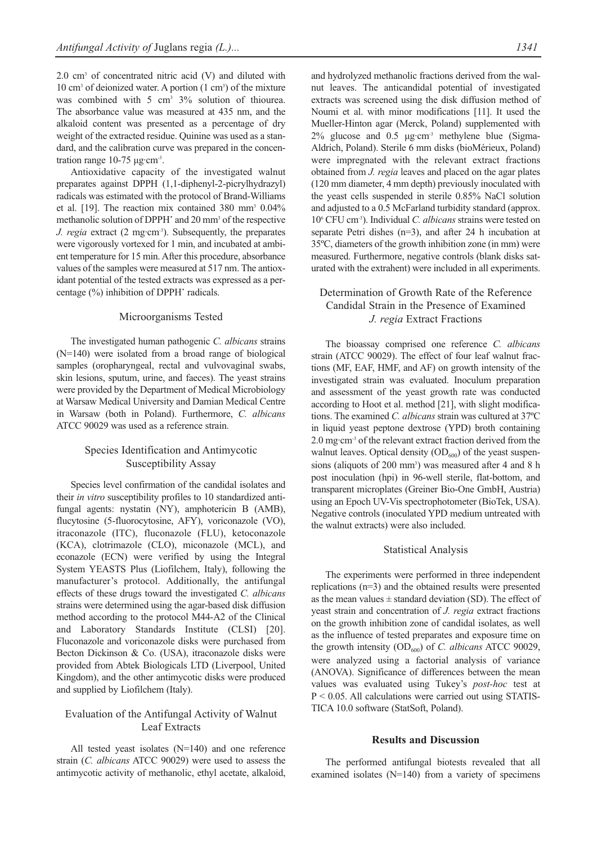2.0 cm3 of concentrated nitric acid (V) and diluted with 10 cm<sup>3</sup> of deionized water. A portion (1 cm<sup>3</sup>) of the mixture was combined with 5 cm<sup>3</sup> 3% solution of thiourea. The absorbance value was measured at 435 nm, and the alkaloid content was presented as a percentage of dry weight of the extracted residue. Quinine was used as a standard, and the calibration curve was prepared in the concentration range 10-75 μg·cm-3.

Antioxidative capacity of the investigated walnut preparates against DPPH (1,1-diphenyl-2-picrylhydrazyl) radicals was estimated with the protocol of Brand-Williams et al. [19]. The reaction mix contained 380 mm3 0.04% methanolic solution of DPPH<sup> $\cdot$ </sup> and 20 mm<sup>3</sup> of the respective *J. regia* extract (2 mg·cm<sup>-3</sup>). Subsequently, the preparates were vigorously vortexed for 1 min, and incubated at ambient temperature for 15 min. After this procedure, absorbance values of the samples were measured at 517 nm. The antioxidant potential of the tested extracts was expressed as a percentage (%) inhibition of DPPH**˙** radicals.

## Microorganisms Tested

The investigated human pathogenic *C. albicans* strains (N=140) were isolated from a broad range of biological samples (oropharyngeal, rectal and vulvovaginal swabs, skin lesions, sputum, urine, and faeces). The yeast strains were provided by the Department of Medical Microbiology at Warsaw Medical University and Damian Medical Centre in Warsaw (both in Poland). Furthermore, *C. albicans* ATCC 90029 was used as a reference strain.

## Species Identification and Antimycotic Susceptibility Assay

Species level confirmation of the candidal isolates and their *in vitro* susceptibility profiles to 10 standardized antifungal agents: nystatin (NY), amphotericin B (AMB), flucytosine (5-fluorocytosine, AFY), voriconazole (VO), itraconazole (ITC), fluconazole (FLU), ketoconazole (KCA), clotrimazole (CLO), miconazole (MCL), and econazole (ECN) were verified by using the Integral System YEASTS Plus (Liofilchem, Italy), following the manufacturer's protocol. Additionally, the antifungal effects of these drugs toward the investigated *C. albicans* strains were determined using the agar-based disk diffusion method according to the protocol M44-A2 of the Clinical and Laboratory Standards Institute (CLSI) [20]. Fluconazole and voriconazole disks were purchased from Becton Dickinson & Co. (USA), itraconazole disks were provided from Abtek Biologicals LTD (Liverpool, United Kingdom), and the other antimycotic disks were produced and supplied by Liofilchem (Italy).

## Evaluation of the Antifungal Activity of Walnut Leaf Extracts

All tested yeast isolates (N=140) and one reference strain (*C. albicans* ATCC 90029) were used to assess the antimycotic activity of methanolic, ethyl acetate, alkaloid, and hydrolyzed methanolic fractions derived from the walnut leaves. The anticandidal potential of investigated extracts was screened using the disk diffusion method of Noumi et al. with minor modifications [11]. It used the Mueller-Hinton agar (Merck, Poland) supplemented with  $2\%$  glucose and 0.5 μg·cm<sup>-3</sup> methylene blue (Sigma-Aldrich, Poland). Sterile 6 mm disks (bioMérieux, Poland) were impregnated with the relevant extract fractions obtained from *J. regia* leaves and placed on the agar plates (120 mm diameter, 4 mm depth) previously inoculated with the yeast cells suspended in sterile 0.85% NaCl solution and adjusted to a 0.5 McFarland turbidity standard (approx. 106 CFU cm-3). Individual *C. albicans*strains were tested on separate Petri dishes (n=3), and after 24 h incubation at 35ºC, diameters of the growth inhibition zone (in mm) were measured. Furthermore, negative controls (blank disks saturated with the extrahent) were included in all experiments.

## Determination of Growth Rate of the Reference Candidal Strain in the Presence of Examined *J. regia* Extract Fractions

The bioassay comprised one reference *C. albicans* strain (ATCC 90029). The effect of four leaf walnut fractions (MF, EAF, HMF, and AF) on growth intensity of the investigated strain was evaluated. Inoculum preparation and assessment of the yeast growth rate was conducted according to Hoot et al. method [21], with slight modifications. The examined *C. albicans* strain was cultured at 37ºC in liquid yeast peptone dextrose (YPD) broth containing 2.0 mg·cm<sup>-3</sup> of the relevant extract fraction derived from the walnut leaves. Optical density  $OD_{600}$  of the yeast suspensions (aliquots of 200 mm<sup>3</sup>) was measured after 4 and 8 h post inoculation (hpi) in 96-well sterile, flat-bottom, and transparent microplates (Greiner Bio-One GmbH, Austria) using an Epoch UV-Vis spectrophotometer (BioTek, USA). Negative controls (inoculated YPD medium untreated with the walnut extracts) were also included.

#### Statistical Analysis

The experiments were performed in three independent replications (n=3) and the obtained results were presented as the mean values  $\pm$  standard deviation (SD). The effect of yeast strain and concentration of *J. regia* extract fractions on the growth inhibition zone of candidal isolates, as well as the influence of tested preparates and exposure time on the growth intensity (OD<sub>600</sub>) of *C. albicans* ATCC 90029, were analyzed using a factorial analysis of variance (ANOVA). Significance of differences between the mean values was evaluated using Tukey's *post-hoc* test at  $P < 0.05$ . All calculations were carried out using STATIS-TICA 10.0 software (StatSoft, Poland).

### **Results and Discussion**

The performed antifungal biotests revealed that all examined isolates (N=140) from a variety of specimens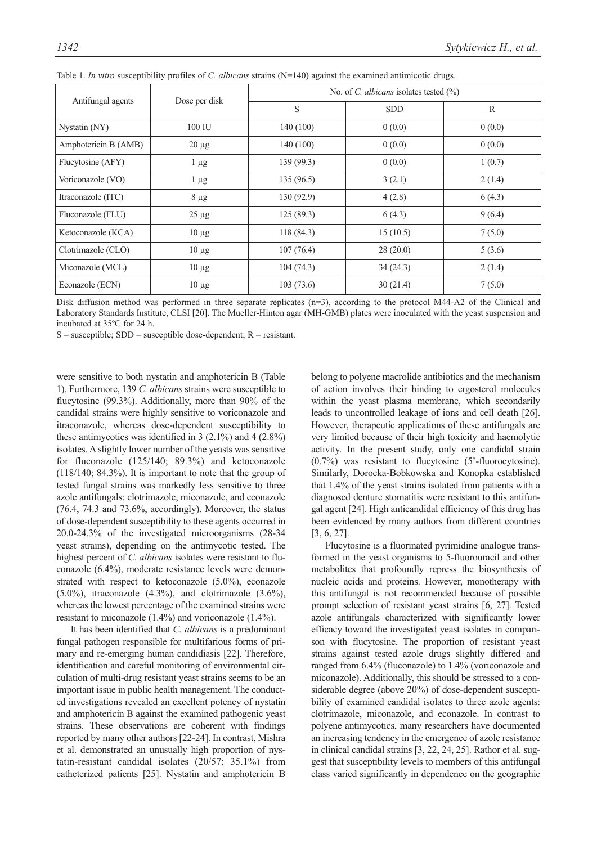| Antifungal agents    | Dose per disk | No. of <i>C. albicans</i> isolates tested $\binom{0}{0}$ |            |        |  |  |
|----------------------|---------------|----------------------------------------------------------|------------|--------|--|--|
|                      |               | S                                                        | <b>SDD</b> | R      |  |  |
| Nystatin (NY)        | 100 IU        | 140(100)                                                 | 0(0.0)     | 0(0.0) |  |  |
| Amphotericin B (AMB) | $20 \mu g$    | 140(100)                                                 | 0(0.0)     | 0(0.0) |  |  |
| Flucytosine (AFY)    | $1 \mu g$     | 139(99.3)                                                | 0(0.0)     | 1(0.7) |  |  |
| Voriconazole (VO)    | $1 \mu g$     | 135(96.5)                                                | 3(2.1)     | 2(1.4) |  |  |
| Itraconazole (ITC)   | $8 \mu g$     | 130(92.9)                                                | 4(2.8)     | 6(4.3) |  |  |
| Fluconazole (FLU)    | $25 \mu g$    | 125(89.3)                                                | 6(4.3)     | 9(6.4) |  |  |
| Ketoconazole (KCA)   | $10 \mu g$    | 118 (84.3)                                               | 15(10.5)   | 7(5.0) |  |  |
| Clotrimazole (CLO)   | $10 \mu g$    | 107(76.4)                                                | 28(20.0)   | 5(3.6) |  |  |
| Miconazole (MCL)     | $10 \mu g$    | 104(74.3)                                                | 34(24.3)   | 2(1.4) |  |  |
| Econazole (ECN)      | $10 \mu$ g    | 103(73.6)                                                | 30(21.4)   | 7(5.0) |  |  |

Table 1. *In vitro* susceptibility profiles of *C. albicans* strains (N=140) against the examined antimicotic drugs.

Disk diffusion method was performed in three separate replicates  $(n=3)$ , according to the protocol M44-A2 of the Clinical and Laboratory Standards Institute, CLSI [20]. The Mueller-Hinton agar (MH-GMB) plates were inoculated with the yeast suspension and incubated at 35ºC for 24 h.

S – susceptible; SDD – susceptible dose-dependent; R – resistant.

were sensitive to both nystatin and amphotericin B (Table 1). Furthermore, 139 *C. albicans* strains were susceptible to flucytosine (99.3%). Additionally, more than 90% of the candidal strains were highly sensitive to voriconazole and itraconazole, whereas dose-dependent susceptibility to these antimycotics was identified in 3 (2.1%) and 4 (2.8%) isolates. A slightly lower number of the yeasts was sensitive for fluconazole (125/140; 89.3%) and ketoconazole (118/140; 84.3%). It is important to note that the group of tested fungal strains was markedly less sensitive to three azole antifungals: clotrimazole, miconazole, and econazole (76.4, 74.3 and 73.6%, accordingly). Moreover, the status of dose-dependent susceptibility to these agents occurred in 20.0-24.3% of the investigated microorganisms (28-34 yeast strains), depending on the antimycotic tested. The highest percent of *C. albicans* isolates were resistant to fluconazole (6.4%), moderate resistance levels were demonstrated with respect to ketoconazole (5.0%), econazole  $(5.0\%)$ , itraconazole  $(4.3\%)$ , and clotrimazole  $(3.6\%)$ , whereas the lowest percentage of the examined strains were resistant to miconazole (1.4%) and voriconazole (1.4%).

It has been identified that *C. albicans* is a predominant fungal pathogen responsible for multifarious forms of primary and re-emerging human candidiasis [22]. Therefore, identification and careful monitoring of environmental circulation of multi-drug resistant yeast strains seems to be an important issue in public health management. The conducted investigations revealed an excellent potency of nystatin and amphotericin B against the examined pathogenic yeast strains. These observations are coherent with findings reported by many other authors [22-24]. In contrast, Mishra et al. demonstrated an unusually high proportion of nystatin-resistant candidal isolates (20/57; 35.1%) from catheterized patients [25]. Nystatin and amphotericin B belong to polyene macrolide antibiotics and the mechanism of action involves their binding to ergosterol molecules within the yeast plasma membrane, which secondarily leads to uncontrolled leakage of ions and cell death [26]. However, therapeutic applications of these antifungals are very limited because of their high toxicity and haemolytic activity. In the present study, only one candidal strain (0.7%) was resistant to flucytosine (5'-fluorocytosine). Similarly, Dorocka-Bobkowska and Konopka established that 1.4% of the yeast strains isolated from patients with a diagnosed denture stomatitis were resistant to this antifungal agent [24]. High anticandidal efficiency of this drug has been evidenced by many authors from different countries [3, 6, 27].

Flucytosine is a fluorinated pyrimidine analogue transformed in the yeast organisms to 5-fluorouracil and other metabolites that profoundly repress the biosynthesis of nucleic acids and proteins. However, monotherapy with this antifungal is not recommended because of possible prompt selection of resistant yeast strains [6, 27]. Tested azole antifungals characterized with significantly lower efficacy toward the investigated yeast isolates in comparison with flucytosine. The proportion of resistant yeast strains against tested azole drugs slightly differed and ranged from 6.4% (fluconazole) to 1.4% (voriconazole and miconazole). Additionally, this should be stressed to a considerable degree (above 20%) of dose-dependent susceptibility of examined candidal isolates to three azole agents: clotrimazole, miconazole, and econazole. In contrast to polyene antimycotics, many researchers have documented an increasing tendency in the emergence of azole resistance in clinical candidal strains [3, 22, 24, 25]. Rathor et al. suggest that susceptibility levels to members of this antifungal class varied significantly in dependence on the geographic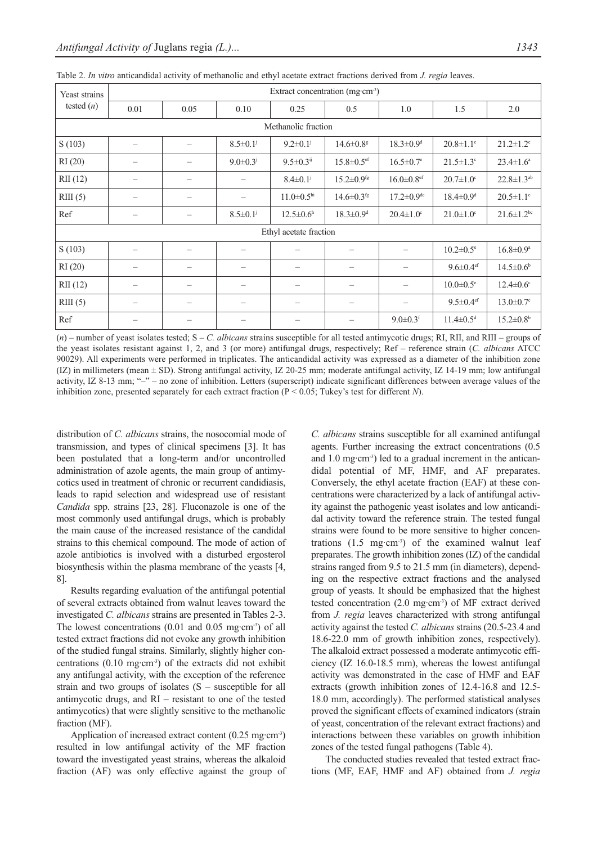| Yeast strains          | Extract concentration ( $mg\cdot cm^{-3}$ ) |                          |                   |                                 |                              |                              |                             |                              |  |
|------------------------|---------------------------------------------|--------------------------|-------------------|---------------------------------|------------------------------|------------------------------|-----------------------------|------------------------------|--|
| tested $(n)$           | 0.01                                        | 0.05                     | 0.10              | 0.25                            | 0.5                          | 1.0                          | 1.5                         | 2.0                          |  |
|                        | Methanolic fraction                         |                          |                   |                                 |                              |                              |                             |                              |  |
| S(103)                 |                                             | $\overline{\phantom{0}}$ | $8.5 \pm 0.1$     | $9.2 \pm 0.1$                   | $14.6 \pm 0.8$ <sup>g</sup>  | $18.3 \pm 0.9$ <sup>d</sup>  | $20.8 \pm 1.1$ °            | $21.2 \pm 1.2$ °             |  |
| RI(20)                 | $\overline{\phantom{m}}$                    | $\overline{\phantom{m}}$ | $9.0 \pm 0.3$     | $9.5 \pm 0.3$ <sup>ij</sup>     | $15.8 \pm 0.5$ <sup>ef</sup> | $16.5 \pm 0.7$ <sup>e</sup>  | $21.5 \pm 1.3$ °            | $23.4 \pm 1.6^a$             |  |
| RII(12)                |                                             |                          |                   | $8.4 \pm 0.1$                   | $15.2 \pm 0.9$ <sup>fg</sup> | $16.0 \pm 0.8$ <sup>ef</sup> | $20.7 \pm 1.0$ °            | $22.8 \pm 1.3^{ab}$          |  |
| RIII(5)                | $\qquad \qquad -$                           | $\overline{\phantom{m}}$ |                   | $11.0 \pm 0.5$ <sup>hi</sup>    | $14.6 \pm 0.3$ <sup>fg</sup> | $17.2 \pm 0.9$ <sup>de</sup> | $18.4 \pm 0.9$ <sup>d</sup> | $20.5 \pm 1.1$ <sup>c</sup>  |  |
| Ref                    | $\overline{\phantom{m}}$                    | $\qquad \qquad -$        | $8.5 \pm 0.1$     | $12.5 \pm 0.6^{\rm h}$          | $18.3 \pm 0.9$ <sup>d</sup>  | $20.4 \pm 1.0^{\circ}$       | $21.0 \pm 1.0$ <sup>c</sup> | $21.6 \pm 1.2$ <sup>bc</sup> |  |
| Ethyl acetate fraction |                                             |                          |                   |                                 |                              |                              |                             |                              |  |
| S(103)                 | $\overline{\phantom{0}}$                    | $\overline{\phantom{0}}$ |                   | $\overline{\phantom{0}}$        |                              |                              | $10.2 \pm 0.5^{\circ}$      | $16.8 \pm 0.9^{\mathrm{a}}$  |  |
| RI(20)                 | $\qquad \qquad -$                           | $\overline{\phantom{m}}$ |                   | $\overline{\phantom{0}}$        |                              |                              | $9.6 \pm 0.4$ <sup>ef</sup> | $14.5 \pm 0.6^{\circ}$       |  |
| RII(12)                | $\qquad \qquad -$                           | $\overline{\phantom{m}}$ | $\qquad \qquad -$ | $\qquad \qquad -$               |                              | $\qquad \qquad$              | $10.0 \pm 0.5$ <sup>e</sup> | $12.4 \pm 0.6$ <sup>c</sup>  |  |
| RIII(5)                | $\qquad \qquad -$                           | $\overline{\phantom{m}}$ |                   | $\qquad \qquad -$               |                              |                              | $9.5 \pm 0.4$ ef            | $13.0 \pm 0.7$ °             |  |
| Ref                    | -                                           |                          |                   | $\hspace{0.1mm}-\hspace{0.1mm}$ |                              | $9.0 \pm 0.3$ <sup>f</sup>   | $11.4 \pm 0.5$ <sup>d</sup> | $15.2 \pm 0.8^b$             |  |

Table 2. *In vitro* anticandidal activity of methanolic and ethyl acetate extract fractions derived from *J. regia* leaves.

(*n*) – number of yeast isolates tested; S – *C. albicans* strains susceptible for all tested antimycotic drugs; RI, RII, and RIII – groups of the yeast isolates resistant against 1, 2, and 3 (or more) antifungal drugs, respectively; Ref – reference strain (*C. albicans* ATCC 90029). All experiments were performed in triplicates. The anticandidal activity was expressed as a diameter of the inhibition zone (IZ) in millimeters (mean ± SD). Strong antifungal activity, IZ 20-25 mm; moderate antifungal activity, IZ 14-19 mm; low antifungal activity, IZ 8-13 mm; "-" – no zone of inhibition. Letters (superscript) indicate significant differences between average values of the inhibition zone, presented separately for each extract fraction (P < 0.05; Tukey's test for different *N*).

distribution of *C. albicans* strains, the nosocomial mode of transmission, and types of clinical specimens [3]. It has been postulated that a long-term and/or uncontrolled administration of azole agents, the main group of antimycotics used in treatment of chronic or recurrent candidiasis, leads to rapid selection and widespread use of resistant *Candida* spp. strains [23, 28]. Fluconazole is one of the most commonly used antifungal drugs, which is probably the main cause of the increased resistance of the candidal strains to this chemical compound. The mode of action of azole antibiotics is involved with a disturbed ergosterol biosynthesis within the plasma membrane of the yeasts [4, 8].

Results regarding evaluation of the antifungal potential of several extracts obtained from walnut leaves toward the investigated *C. albicans* strains are presented in Tables 2-3. The lowest concentrations  $(0.01 \text{ and } 0.05 \text{ mg} \cdot \text{cm}^{-3})$  of all tested extract fractions did not evoke any growth inhibition of the studied fungal strains. Similarly, slightly higher concentrations  $(0.10 \text{ mg}\cdot\text{cm}^{-3})$  of the extracts did not exhibit any antifungal activity, with the exception of the reference strain and two groups of isolates (S – susceptible for all antimycotic drugs, and RI – resistant to one of the tested antimycotics) that were slightly sensitive to the methanolic fraction (MF).

Application of increased extract content (0.25 mg·cm<sup>-3</sup>) resulted in low antifungal activity of the MF fraction toward the investigated yeast strains, whereas the alkaloid fraction (AF) was only effective against the group of *C. albicans* strains susceptible for all examined antifungal agents. Further increasing the extract concentrations (0.5 and 1.0 mg·cm<sup>-3</sup>) led to a gradual increment in the anticandidal potential of MF, HMF, and AF preparates. Conversely, the ethyl acetate fraction (EAF) at these concentrations were characterized by a lack of antifungal activity against the pathogenic yeast isolates and low anticandidal activity toward the reference strain. The tested fungal strains were found to be more sensitive to higher concentrations  $(1.5 \text{ mg}\cdot\text{cm}^3)$  of the examined walnut leaf preparates. The growth inhibition zones (IZ) of the candidal strains ranged from 9.5 to 21.5 mm (in diameters), depending on the respective extract fractions and the analysed group of yeasts. It should be emphasized that the highest tested concentration (2.0 mg·cm-3) of MF extract derived from *J. regia* leaves characterized with strong antifungal activity against the tested *C. albicans* strains (20.5-23.4 and 18.6-22.0 mm of growth inhibition zones, respectively). The alkaloid extract possessed a moderate antimycotic efficiency (IZ 16.0-18.5 mm), whereas the lowest antifungal activity was demonstrated in the case of HMF and EAF extracts (growth inhibition zones of 12.4-16.8 and 12.5- 18.0 mm, accordingly). The performed statistical analyses proved the significant effects of examined indicators (strain of yeast, concentration of the relevant extract fractions) and interactions between these variables on growth inhibition zones of the tested fungal pathogens (Table 4).

The conducted studies revealed that tested extract fractions (MF, EAF, HMF and AF) obtained from *J. regia*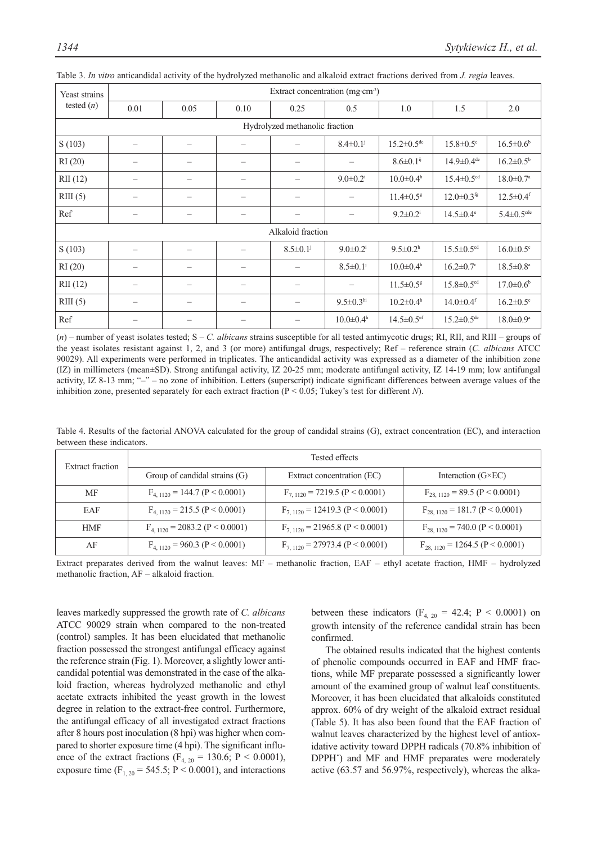| Yeast strains<br>tested $(n)$  | Extract concentration ( $mg\cdot cm^{-3}$ ) |                          |                          |                          |                             |                              |                              |                              |  |
|--------------------------------|---------------------------------------------|--------------------------|--------------------------|--------------------------|-----------------------------|------------------------------|------------------------------|------------------------------|--|
|                                | 0.01                                        | 0.05                     | 0.10                     | 0.25                     | 0.5                         | 1.0                          | 1.5                          | 2.0                          |  |
| Hydrolyzed methanolic fraction |                                             |                          |                          |                          |                             |                              |                              |                              |  |
| S(103)                         |                                             |                          |                          |                          | $8.4 \pm 0.1$               | $15.2 \pm 0.5^{\text{de}}$   | $15.8 \pm 0.5$ <sup>c</sup>  | $16.5 \pm 0.6^{\circ}$       |  |
| RI(20)                         |                                             |                          |                          |                          |                             | $8.6 \pm 0.1$ <sup>ij</sup>  | $14.9 \pm 0.4$ <sup>de</sup> | $16.2 \pm 0.5^{\rm b}$       |  |
| RII(12)                        | $\overline{\phantom{0}}$                    |                          | $\overline{\phantom{0}}$ | $\overline{\phantom{0}}$ | $9.0 \pm 0.2^i$             | $10.0 \pm 0.4$ <sup>h</sup>  | $15.4 \pm 0.5$ <sup>cd</sup> | $18.0 \pm 0.7^{\circ}$       |  |
| RIII(5)                        | $\qquad \qquad$                             |                          |                          | $\overline{\phantom{0}}$ |                             | $11.4 \pm 0.5$ <sup>g</sup>  | $12.0 \pm 0.3$ <sup>fg</sup> | $12.5 \pm 0.4$ <sup>f</sup>  |  |
| Ref                            | $\qquad \qquad$                             |                          | $\overline{\phantom{0}}$ |                          |                             | $9.2 \pm 0.2^{\mathrm{i}}$   | $14.5 \pm 0.4^e$             | $5.4 \pm 0.5$ <sup>cde</sup> |  |
| Alkaloid fraction              |                                             |                          |                          |                          |                             |                              |                              |                              |  |
| S(103)                         | $\overline{\phantom{0}}$                    | $\overline{\phantom{0}}$ |                          | $8.5 \pm 0.1$            | $9.0 \pm 0.2$ <sup>i</sup>  | $9.5 \pm 0.2$ <sup>h</sup>   | $15.5 \pm 0.5$ <sup>cd</sup> | $16.0 \pm 0.5$ <sup>c</sup>  |  |
| RI(20)                         | $\qquad \qquad$                             |                          |                          |                          | $8.5 \pm 0.1$ <sup>j</sup>  | $10.0 \pm 0.4$ <sup>h</sup>  | $16.2 \pm 0.7$ °             | $18.5 \pm 0.8^{\circ}$       |  |
| RII(12)                        | $\overline{\phantom{0}}$                    |                          | $\overline{\phantom{0}}$ | $\overline{\phantom{0}}$ |                             | $11.5 \pm 0.5$ <sup>g</sup>  | $15.8 \pm 0.5$ <sup>cd</sup> | $17.0 \pm 0.6^b$             |  |
| RIII(5)                        | —                                           |                          |                          |                          | $9.5 \pm 0.3$ hi            | $10.2 \pm 0.4$ <sup>h</sup>  | $14.0 \pm 0.4$ <sup>f</sup>  | $16.2 \pm 0.5$ °             |  |
| Ref                            |                                             |                          |                          |                          | $10.0 \pm 0.4$ <sup>h</sup> | $14.5 \pm 0.5$ <sup>ef</sup> | $15.2 \pm 0.5^{\text{de}}$   | $18.0 \pm 0.9^{\circ}$       |  |

Table 3. *In vitro* anticandidal activity of the hydrolyzed methanolic and alkaloid extract fractions derived from *J. regia* leaves.

(*n*) – number of yeast isolates tested; S – *C. albicans* strains susceptible for all tested antimycotic drugs; RI, RII, and RIII – groups of the yeast isolates resistant against 1, 2, and 3 (or more) antifungal drugs, respectively; Ref – reference strain (*C. albicans* ATCC 90029). All experiments were performed in triplicates. The anticandidal activity was expressed as a diameter of the inhibition zone (IZ) in millimeters (mean±SD). Strong antifungal activity, IZ 20-25 mm; moderate antifungal activity, IZ 14-19 mm; low antifungal activity, IZ 8-13 mm; "‒" – no zone of inhibition. Letters (superscript) indicate significant differences between average values of the inhibition zone, presented separately for each extract fraction (P < 0.05; Tukey's test for different *N*).

Table 4. Results of the factorial ANOVA calculated for the group of candidal strains (G), extract concentration (EC), and interaction between these indicators.

| <b>Extract fraction</b> | Tested effects                       |                                        |                                        |  |  |  |  |
|-------------------------|--------------------------------------|----------------------------------------|----------------------------------------|--|--|--|--|
|                         | Group of candidal strains (G)        | Extract concentration (EC)             | Interaction $(G \times EC)$            |  |  |  |  |
| MF                      | $F_{4-1120} = 144.7 (P \le 0.0001)$  | $F_{7-1120} = 7219.5 (P \le 0.0001)$   | $F_{28-1120} = 89.5 (P \le 0.0001)$    |  |  |  |  |
| EAF                     | $F_{4.1120} = 215.5 (P \le 0.0001)$  | $F_{7, 1120} = 12419.3 (P \le 0.0001)$ | $F_{28-1120} = 181.7 (P \le 0.0001)$   |  |  |  |  |
| <b>HMF</b>              | $F_{4.1120}$ = 2083.2 (P < 0.0001)   | $F_{7, 1120}$ = 21965.8 (P < 0.0001)   | $F_{28, 1120} = 740.0 (P \le 0.0001)$  |  |  |  |  |
| AF                      | $F_{4, 1120} = 960.3 (P \le 0.0001)$ | $F_{7, 1120} = 27973.4 (P < 0.0001)$   | $F_{28, 1120} = 1264.5 (P \le 0.0001)$ |  |  |  |  |

Extract preparates derived from the walnut leaves: MF – methanolic fraction, EAF – ethyl acetate fraction, HMF – hydrolyzed methanolic fraction, AF – alkaloid fraction.

leaves markedly suppressed the growth rate of *C. albicans* ATCC 90029 strain when compared to the non-treated (control) samples. It has been elucidated that methanolic fraction possessed the strongest antifungal efficacy against the reference strain (Fig. 1). Moreover, a slightly lower anticandidal potential was demonstrated in the case of the alkaloid fraction, whereas hydrolyzed methanolic and ethyl acetate extracts inhibited the yeast growth in the lowest degree in relation to the extract-free control. Furthermore, the antifungal efficacy of all investigated extract fractions after 8 hours post inoculation (8 hpi) was higher when compared to shorter exposure time (4 hpi). The significant influence of the extract fractions ( $F_{4, 20} = 130.6$ ;  $P < 0.0001$ ), exposure time  $(F<sub>1, 20</sub> = 545.5; P < 0.0001)$ , and interactions between these indicators ( $F_{4, 20} = 42.4$ ;  $P < 0.0001$ ) on growth intensity of the reference candidal strain has been confirmed.

The obtained results indicated that the highest contents of phenolic compounds occurred in EAF and HMF fractions, while MF preparate possessed a significantly lower amount of the examined group of walnut leaf constituents. Moreover, it has been elucidated that alkaloids constituted approx. 60% of dry weight of the alkaloid extract residual (Table 5). It has also been found that the EAF fraction of walnut leaves characterized by the highest level of antioxidative activity toward DPPH radicals (70.8% inhibition of DPPH<sup>\*</sup>) and MF and HMF preparates were moderately active (63.57 and 56.97%, respectively), whereas the alka-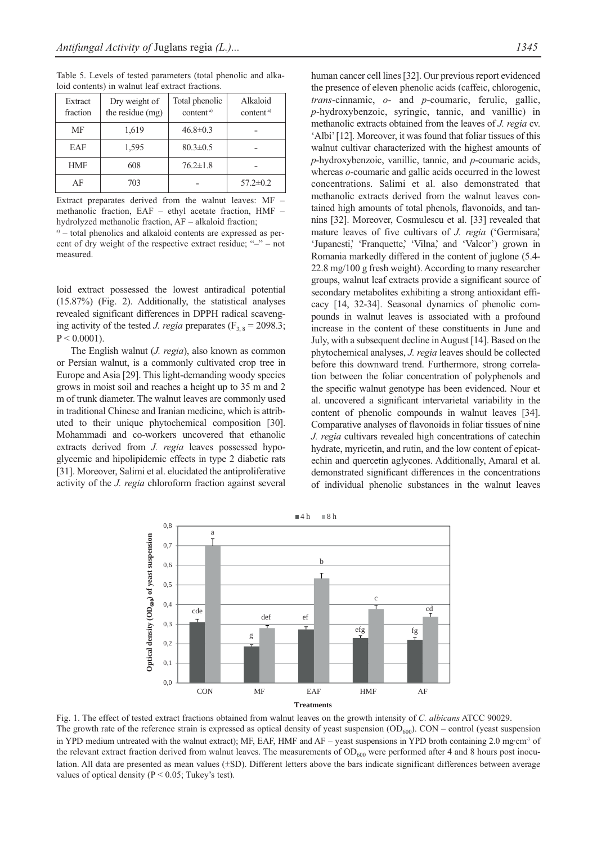| Tora contento, in wantat ical charact hactions. |                                   |                                         |                                   |  |  |  |
|-------------------------------------------------|-----------------------------------|-----------------------------------------|-----------------------------------|--|--|--|
| Extract<br>fraction                             | Dry weight of<br>the residue (mg) | Total phenolic<br>content <sup>a)</sup> | Alkaloid<br>content <sup>a)</sup> |  |  |  |
| MF                                              | 1,619                             | $46.8 \pm 0.3$                          |                                   |  |  |  |
| EAF                                             | 1,595                             | $80.3 \pm 0.5$                          |                                   |  |  |  |
| <b>HMF</b>                                      | 608                               | $76.2 \pm 1.8$                          |                                   |  |  |  |

Table 5. Levels of tested parameters (total phenolic and alkaloid contents) in walnut leaf extract fractions.

Extract preparates derived from the walnut leaves: MF methanolic fraction, EAF - ethyl acetate fraction, HMF hydrolyzed methanolic fraction,  $AF - alkaloid$  fraction;

 $AF$  703  $-$  57.2 $\pm$ 0.2

a) – total phenolics and alkaloid contents are expressed as percent of dry weight of the respective extract residue; " $-$ " – not measured.

loid extract possessed the lowest antiradical potential (15.87%) (Fig. 2). Additionally, the statistical analyses revealed significant differences in DPPH radical scavenging activity of the tested *J. regia* preparates ( $F_{3, 8} = 2098.3$ ;  $P < 0.0001$ ).

The English walnut (*J. regia*), also known as common or Persian walnut, is a commonly cultivated crop tree in Europe and Asia [29]. This light-demanding woody species grows in moist soil and reaches a height up to 35 m and 2 m of trunk diameter. The walnut leaves are commonly used in traditional Chinese and Iranian medicine, which is attributed to their unique phytochemical composition [30]. Mohammadi and co-workers uncovered that ethanolic extracts derived from *J. regia* leaves possessed hypoglycemic and hipolipidemic effects in type 2 diabetic rats [31]. Moreover, Salimi et al. elucidated the antiproliferative activity of the *J. regia* chloroform fraction against several human cancer cell lines [32]. Our previous report evidenced the presence of eleven phenolic acids (caffeic, chlorogenic, *trans*-cinnamic, *o*- and *p*-coumaric, ferulic, gallic, *p*-hydroxybenzoic, syringic, tannic, and vanillic) in methanolic extracts obtained from the leaves of *J. regia* cv. 'Albi' [12]. Moreover, it was found that foliar tissues of this walnut cultivar characterized with the highest amounts of *p*-hydroxybenzoic, vanillic, tannic, and *p*-coumaric acids, whereas *o*-coumaric and gallic acids occurred in the lowest concentrations. Salimi et al. also demonstrated that methanolic extracts derived from the walnut leaves contained high amounts of total phenols, flavonoids, and tannins [32]. Moreover, Cosmulescu et al. [33] revealed that mature leaves of five cultivars of *J. regia* ('Germisara', 'Jupanesti,' 'Franquette,' 'Vilna,' and 'Valcor') grown in Romania markedly differed in the content of juglone (5.4- 22.8 mg/100 g fresh weight). According to many researcher groups, walnut leaf extracts provide a significant source of secondary metabolites exhibiting a strong antioxidant efficacy [14, 32-34]. Seasonal dynamics of phenolic compounds in walnut leaves is associated with a profound increase in the content of these constituents in June and July, with a subsequent decline in August [14]. Based on the phytochemical analyses, *J. regia* leaves should be collected before this downward trend. Furthermore, strong correlation between the foliar concentration of polyphenols and the specific walnut genotype has been evidenced. Nour et al. uncovered a significant intervarietal variability in the content of phenolic compounds in walnut leaves [34]. Comparative analyses of flavonoids in foliar tissues of nine *J. regia* cultivars revealed high concentrations of catechin hydrate, myricetin, and rutin, and the low content of epicatechin and quercetin aglycones. Additionally, Amaral et al. demonstrated significant differences in the concentrations of individual phenolic substances in the walnut leaves



Fig. 1. The effect of tested extract fractions obtained from walnut leaves on the growth intensity of *C. albicans* ATCC 90029. The growth rate of the reference strain is expressed as optical density of yeast suspension  $OD_{600}$ ).  $CON - control$  (yeast suspension in YPD medium untreated with the walnut extract); MF, EAF, HMF and AF – yeast suspensions in YPD broth containing 2.0 mg·cm<sup>-3</sup> of the relevant extract fraction derived from walnut leaves. The measurements of  $OD<sub>600</sub>$  were performed after 4 and 8 hours post inoculation. All data are presented as mean values (±SD). Different letters above the bars indicate significant differences between average values of optical density ( $P < 0.05$ ; Tukey's test).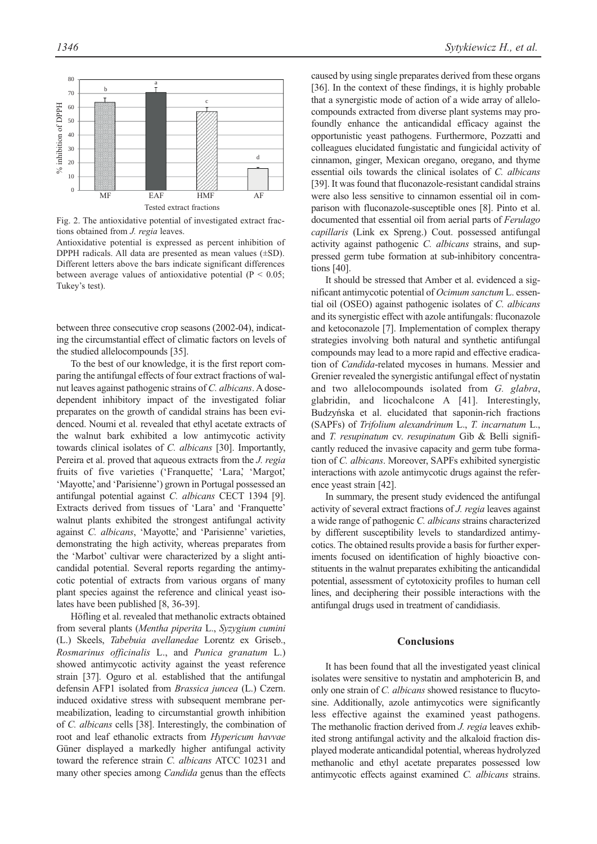

Fig. 2. The antioxidative potential of investigated extract fractions obtained from *J. regia* leaves.

Antioxidative potential is expressed as percent inhibition of DPPH radicals. All data are presented as mean values (±SD). Different letters above the bars indicate significant differences between average values of antioxidative potential ( $P < 0.05$ ;

between three consecutive crop seasons (2002-04), indicating the circumstantial effect of climatic factors on levels of the studied allelocompounds [35].

To the best of our knowledge, it is the first report comparing the antifungal effects of four extract fractions of walnut leaves against pathogenic strains of *C. albicans*. A dosedependent inhibitory impact of the investigated foliar preparates on the growth of candidal strains has been evidenced. Noumi et al. revealed that ethyl acetate extracts of the walnut bark exhibited a low antimycotic activity towards clinical isolates of *C. albicans* [30]. Importantly, Pereira et al. proved that aqueous extracts from the *J. regia* fruits of five varieties ('Franquette,' 'Lara,' 'Margot,' 'Mayotte,' and 'Parisienne') grown in Portugal possessed an antifungal potential against *C. albicans* CECT 1394 [9]. Extracts derived from tissues of 'Lara' and 'Franquette' walnut plants exhibited the strongest antifungal activity against *C. albicans*, 'Mayotte,' and 'Parisienne' varieties, demonstrating the high activity, whereas preparates from the 'Marbot' cultivar were characterized by a slight anticandidal potential. Several reports regarding the antimycotic potential of extracts from various organs of many plant species against the reference and clinical yeast isolates have been published [8, 36-39].

Höfling et al. revealed that methanolic extracts obtained from several plants (*Mentha piperita* L., *Syzygium cumini* (L.) Skeels, *Tabebuia avellanedae* Lorentz ex Griseb., *Rosmarinus officinalis* L., and *Punica granatum* L.) showed antimycotic activity against the yeast reference strain [37]. Oguro et al. established that the antifungal defensin AFP1 isolated from *Brassica juncea* (L.) Czern. induced oxidative stress with subsequent membrane permeabilization, leading to circumstantial growth inhibition of *C. albicans* cells [38]. Interestingly, the combination of root and leaf ethanolic extracts from *Hypericum havvae* Güner displayed a markedly higher antifungal activity toward the reference strain *C. albicans* ATCC 10231 and many other species among *Candida* genus than the effects

caused by using single preparates derived from these organs [36]. In the context of these findings, it is highly probable that a synergistic mode of action of a wide array of allelocompounds extracted from diverse plant systems may profoundly enhance the anticandidal efficacy against the opportunistic yeast pathogens. Furthermore, Pozzatti and colleagues elucidated fungistatic and fungicidal activity of cinnamon, ginger, Mexican oregano, oregano, and thyme essential oils towards the clinical isolates of *C. albicans* [39]. It was found that fluconazole-resistant candidal strains were also less sensitive to cinnamon essential oil in comparison with fluconazole-susceptible ones [8]. Pinto et al. documented that essential oil from aerial parts of *Ferulago capillaris* (Link ex Spreng.) Cout. possessed antifungal activity against pathogenic *C. albicans* strains, and suppressed germ tube formation at sub-inhibitory concentrations [40].

It should be stressed that Amber et al. evidenced a significant antimycotic potential of *Ocimum sanctum* L. essential oil (OSEO) against pathogenic isolates of *C. albicans* and its synergistic effect with azole antifungals: fluconazole and ketoconazole [7]. Implementation of complex therapy strategies involving both natural and synthetic antifungal compounds may lead to a more rapid and effective eradication of *Candida*-related mycoses in humans. Messier and Grenier revealed the synergistic antifungal effect of nystatin and two allelocompounds isolated from *G. glabra*, glabridin, and licochalcone A [41]. Interestingly, Budzyńska et al. elucidated that saponin-rich fractions (SAPFs) of *Trifolium alexandrinum* L., *T. incarnatum* L., and *T. resupinatum* cv. *resupinatum* Gib & Belli significantly reduced the invasive capacity and germ tube formation of *C. albicans*. Moreover, SAPFs exhibited synergistic interactions with azole antimycotic drugs against the reference yeast strain [42].

In summary, the present study evidenced the antifungal activity of several extract fractions of *J. regia* leaves against a wide range of pathogenic *C. albicans* strains characterized by different susceptibility levels to standardized antimycotics. The obtained results provide a basis for further experiments focused on identification of highly bioactive constituents in the walnut preparates exhibiting the anticandidal potential, assessment of cytotoxicity profiles to human cell lines, and deciphering their possible interactions with the antifungal drugs used in treatment of candidiasis.

## **Conclusions**

It has been found that all the investigated yeast clinical isolates were sensitive to nystatin and amphotericin B, and only one strain of *C. albicans* showed resistance to flucytosine. Additionally, azole antimycotics were significantly less effective against the examined yeast pathogens. The methanolic fraction derived from *J. regia* leaves exhibited strong antifungal activity and the alkaloid fraction displayed moderate anticandidal potential, whereas hydrolyzed methanolic and ethyl acetate preparates possessed low antimycotic effects against examined *C. albicans* strains.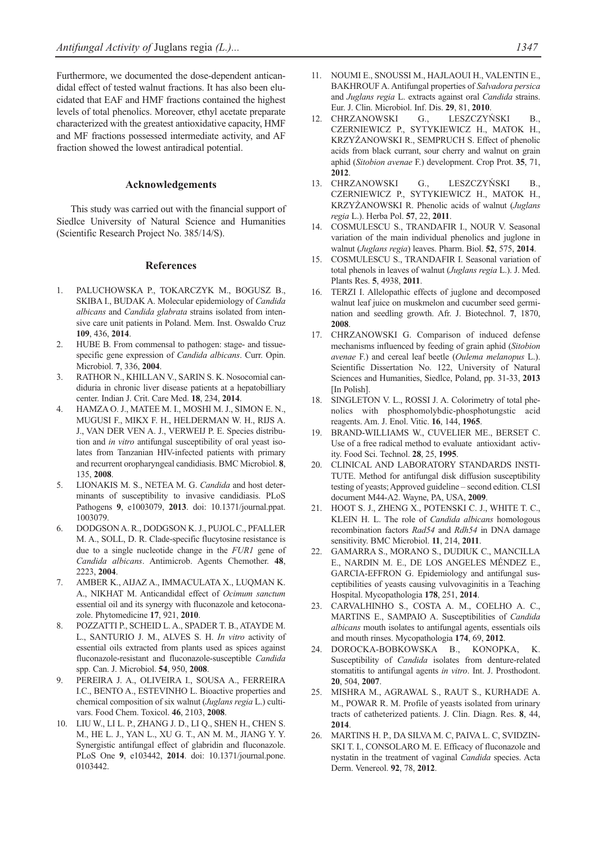Furthermore, we documented the dose-dependent anticandidal effect of tested walnut fractions. It has also been elucidated that EAF and HMF fractions contained the highest levels of total phenolics. Moreover, ethyl acetate preparate characterized with the greatest antioxidative capacity, HMF and MF fractions possessed intermediate activity, and AF fraction showed the lowest antiradical potential.

## **Acknowledgements**

This study was carried out with the financial support of Siedlce University of Natural Science and Humanities (Scientific Research Project No. 385/14/S).

#### **References**

- 1. PALUCHOWSKA P., TOKARCZYK M., BOGUSZ B., SKIBA I., BUDAK A. Molecular epidemiology of *Candida albicans* and *Candida glabrata* strains isolated from intensive care unit patients in Poland. Mem. Inst. Oswaldo Cruz **109**, 436, **2014**.
- 2. HUBE B. From commensal to pathogen: stage- and tissuespecific gene expression of *Candida albicans*. Curr. Opin. Microbiol. **7**, 336, **2004**.
- 3. RATHOR N., KHILLAN V., SARIN S. K. Nosocomial candiduria in chronic liver disease patients at a hepatobilliary center. Indian J. Crit. Care Med. **18**, 234, **2014**.
- 4. HAMZA O. J., MATEE M. I., MOSHI M. J., SIMON E. N., MUGUSI F., MIKX F. H., HELDERMAN W. H., RIJS A. J., VAN DER VEN A. J., VERWEIJ P. E. Species distribution and *in vitro* antifungal susceptibility of oral yeast isolates from Tanzanian HIV-infected patients with primary and recurrent oropharyngeal candidiasis. BMC Microbiol. **8**, 135, **2008**.
- 5. LIONAKIS M. S., NETEA M. G. *Candida* and host determinants of susceptibility to invasive candidiasis. PLoS Pathogens **9**, e1003079, **2013**. doi: 10.1371/journal.ppat. 1003079.
- 6. DODGSON A. R., DODGSON K. J., PUJOL C., PFALLER M. A., SOLL, D. R. Clade-specific flucytosine resistance is due to a single nucleotide change in the *FUR1* gene of *Candida albicans*. Antimicrob. Agents Chemother. **48**, 2223, **2004**.
- 7. AMBER K., AIJAZ A., IMMACULATA X., LUQMAN K. A., NIKHAT M. Anticandidal effect of *Ocimum sanctum* essential oil and its synergy with fluconazole and ketoconazole. Phytomedicine **17**, 921, **2010**.
- 8. POZZATTI P., SCHEID L. A., SPADER T. B., ATAYDE M. L., SANTURIO J. M., ALVES S. H. *In vitro* activity of essential oils extracted from plants used as spices against fluconazole-resistant and fluconazole-susceptible *Candida* spp. Can. J. Microbiol. **54**, 950, **2008**.
- 9. PEREIRA J. A., OLIVEIRA I., SOUSA A., FERREIRA I.C., BENTO A., ESTEVINHO L. Bioactive properties and chemical composition of six walnut (*Juglans regia* L.) cultivars. Food Chem. Toxicol. **46**, 2103, **2008**.
- 10. LIU W., LI L. P., ZHANG J. D., LI Q., SHEN H., CHEN S. M., HE L. J., YAN L., XU G. T., AN M. M., JIANG Y. Y. Synergistic antifungal effect of glabridin and fluconazole. PLoS One **9**, e103442, **2014**. doi: 10.1371/journal.pone. 0103442.
- 11. NOUMI E., SNOUSSI M., HAJLAOUI H., VALENTIN E., BAKHROUF A. Antifungal properties of *Salvadora persica* and *Juglans regia* L. extracts against oral *Candida* strains. Eur. J. Clin. Microbiol. Inf. Dis. **29**, 81, **2010**.
- 12. CHRZANOWSKI G., LESZCZYŃSKI B., CZERNIEWICZ P., SYTYKIEWICZ H., MATOK H., KRZYŻANOWSKI R., SEMPRUCH S. Effect of phenolic acids from black currant, sour cherry and walnut on grain aphid (*Sitobion avenae* F.) development. Crop Prot. **35**, 71, **2012**.
- 13. CHRZANOWSKI G. LESZCZYŃSKI B. CZERNIEWICZ P., SYTYKIEWICZ H., MATOK H., KRZYŻANOWSKI R. Phenolic acids of walnut (*Juglans regia* L.). Herba Pol. **57**, 22, **2011**.
- 14. COSMULESCU S., TRANDAFIR I., NOUR V. Seasonal variation of the main individual phenolics and juglone in walnut (*Juglans regia*) leaves. Pharm. Biol. **52**, 575, **2014**.
- 15. COSMULESCU S., TRANDAFIR I. Seasonal variation of total phenols in leaves of walnut (*Juglans regia* L.). J. Med. Plants Res. **5**, 4938, **2011**.
- 16. TERZI I. Allelopathic effects of juglone and decomposed walnut leaf juice on muskmelon and cucumber seed germination and seedling growth. Afr. J. Biotechnol. **7**, 1870, **2008**.
- 17. CHRZANOWSKI G. Comparison of induced defense mechanisms influenced by feeding of grain aphid (*Sitobion avenae* F.) and cereal leaf beetle (*Oulema melanopus* L.). Scientific Dissertation No. 122, University of Natural Sciences and Humanities, Siedlce, Poland, pp. 31-33, **2013** [In Polish].
- 18. SINGLETON V. L., ROSSI J. A. Colorimetry of total phenolics with phosphomolybdic-phosphotungstic acid reagents. Am. J. Enol. Vitic. **16**, 144, **1965**.
- 19. BRAND-WILLIAMS W., CUVELIER ME., BERSET C. Use of a free radical method to evaluate antioxidant activity. Food Sci. Technol. **28**, 25, **1995**.
- 20. CLINICAL AND LABORATORY STANDARDS INSTI-TUTE. Method for antifungal disk diffusion susceptibility testing of yeasts; Approved guideline – second edition. CLSI document M44-A2. Wayne, PA, USA, **2009**.
- 21. HOOT S. J., ZHENG X., POTENSKI C. J., WHITE T. C., KLEIN H. L. The role of *Candida albicans* homologous recombination factors *Rad54* and *Rdh54* in DNA damage sensitivity. BMC Microbiol. **11**, 214, **2011**.
- 22. GAMARRA S., MORANO S., DUDIUK C., MANCILLA E., NARDIN M. E., DE LOS ANGELES MÉNDEZ E., GARCIA-EFFRON G. Epidemiology and antifungal susceptibilities of yeasts causing vulvovaginitis in a Teaching Hospital. Mycopathologia **178**, 251, **2014**.
- 23. CARVALHINHO S., COSTA A. M., COELHO A. C., MARTINS E., SAMPAIO A. Susceptibilities of *Candida albicans* mouth isolates to antifungal agents, essentials oils and mouth rinses. Mycopathologia **174**, 69, **2012**.
- DOROCKA-BOBKOWSKA B., KONOPKA, Susceptibility of *Candida* isolates from denture-related stomatitis to antifungal agents *in vitro*. Int. J. Prosthodont. **20**, 504, **2007**.
- 25. MISHRA M., AGRAWAL S., RAUT S., KURHADE A. M., POWAR R. M. Profile of yeasts isolated from urinary tracts of catheterized patients. J. Clin. Diagn. Res. **8**, 44, **2014**.
- 26. MARTINS H. P., DA SILVA M. C, PAIVA L. C, SVIDZIN-SKI T. I., CONSOLARO M. E. Efficacy of fluconazole and nystatin in the treatment of vaginal *Candida* species. Acta Derm. Venereol. **92**, 78, **2012**.